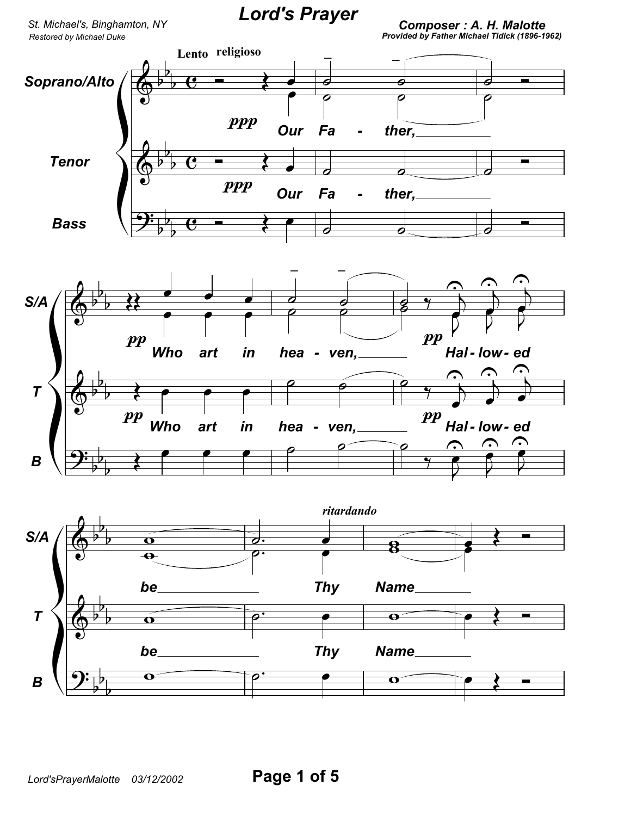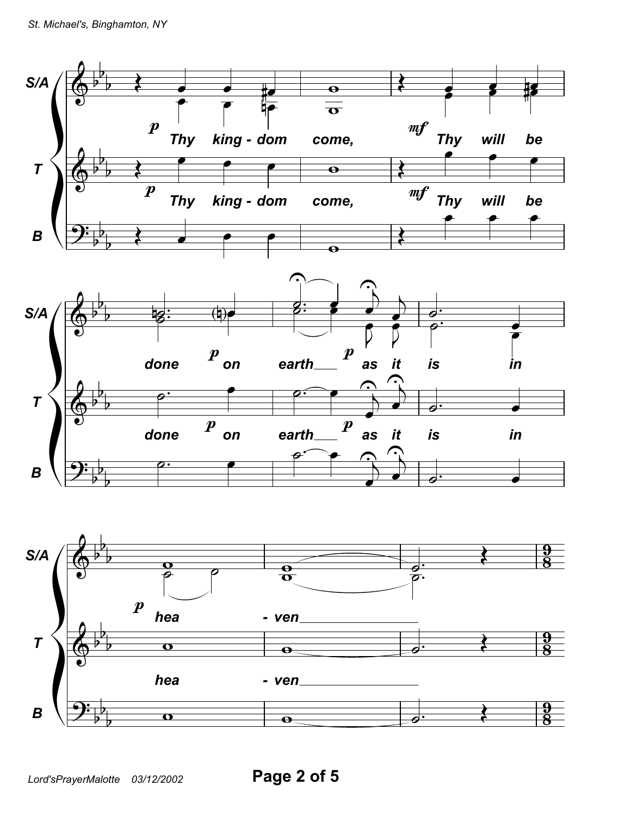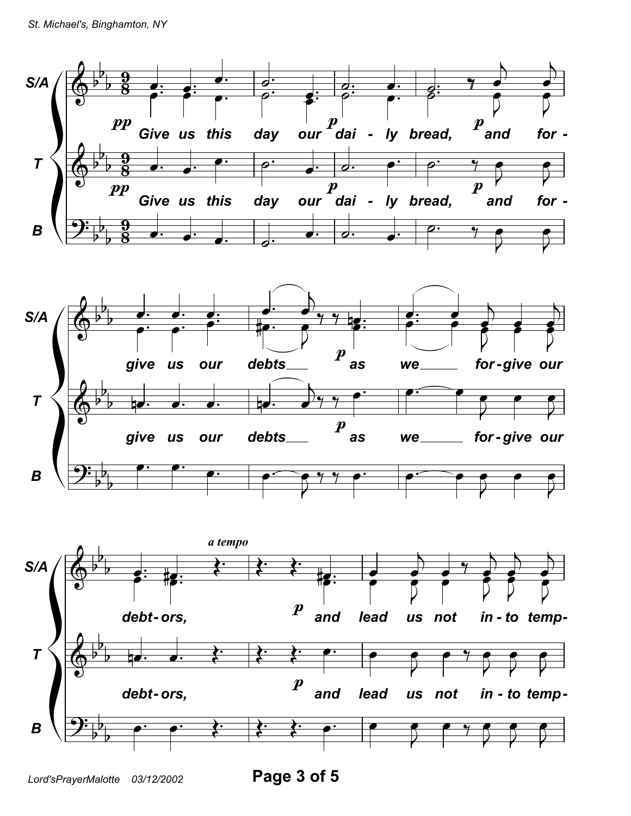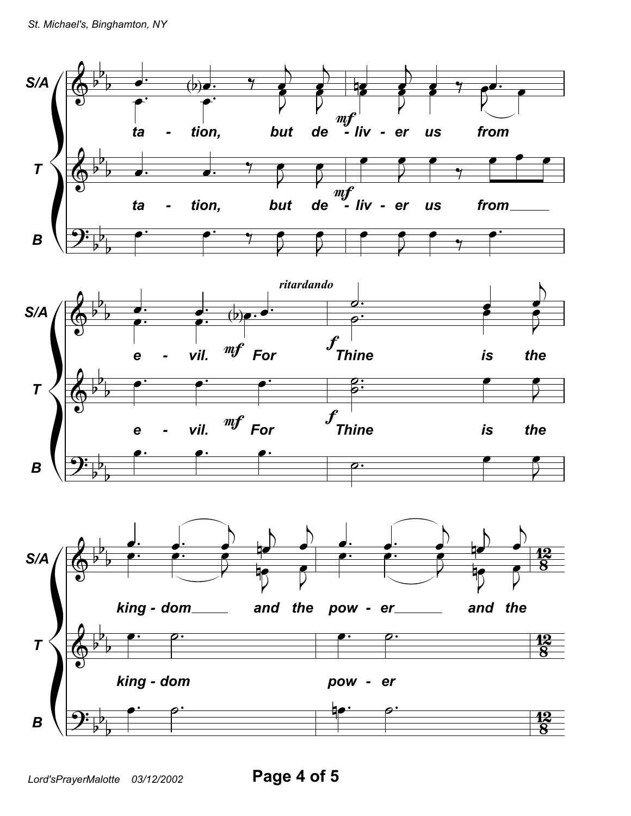